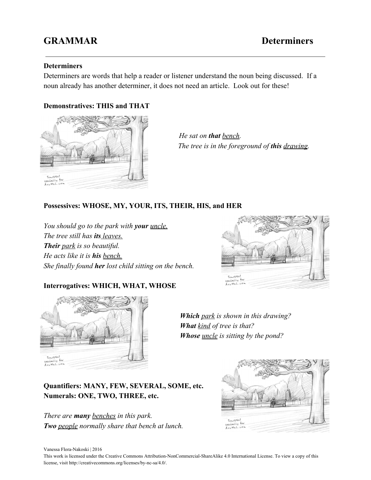# **GRAMMAR Determiners**

### **Determiners**

Determiners are words that help a reader or listener understand the noun being discussed. If a noun already has another determiner, it does not need an article. Look out for these!

## **Demonstratives: THIS and THAT**



 *He sat on that bench. The tree is in the foreground of this drawing.*

### **Possessives: WHOSE, MY, YOUR, ITS, THEIR, HIS, and HER**

*You should go to the park with your uncle. The tree still has its leaves. Their park is so beautiful. He acts like it is his bench. She finally found her lost child sitting on the bench.*



### **Interrogatives: WHICH, WHAT, WHOSE**



*Which park is shown in this drawing? What kind of tree is that? Whose uncle is sitting by the pond?*

**Quantifiers: MANY, FEW, SEVERAL, SOME, etc. Numerals: ONE, TWO, THREE, etc.**

*There are many benches in this park. Two people normally share that bench at lunch.*



Vanessa Flora-Nakoski | 2016

This work is licensed under the Creative Commons Attribution-NonCommercial-ShareAlike 4.0 International License. To view a copy of this license, visit http://creativecommons.org/licenses/by-nc-sa/4.0/.